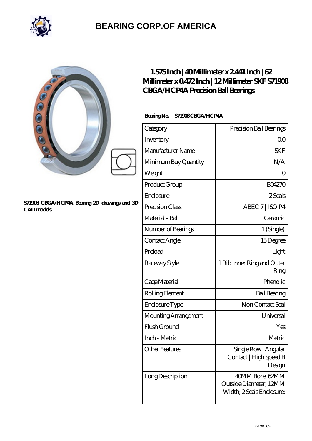

## **[BEARING CORP.OF AMERICA](https://bluemondayreview.com)**

|                                                                                                                        | $1.575$ Inch   40Millimeter x 2441 Inch   62<br>Millimeter x 0472 Inch   12 Millimeter SKF S71908<br><b>CBGA/HCP4A Precision Ball Bearings</b> |                                                          |  |
|------------------------------------------------------------------------------------------------------------------------|------------------------------------------------------------------------------------------------------------------------------------------------|----------------------------------------------------------|--|
| $\mathcal{O}^{\bigcirc}$ $\mathcal{O}^{\bigcirc}$<br>S71908 CBGA/HCP4A Bearing 2D drawings and 3D<br><b>CAD</b> models | Bearing No. S71908CBGA/HCP4A                                                                                                                   |                                                          |  |
|                                                                                                                        | Category                                                                                                                                       | Precision Ball Bearings                                  |  |
|                                                                                                                        | Inventory                                                                                                                                      | QO                                                       |  |
|                                                                                                                        | Manufacturer Name                                                                                                                              | <b>SKF</b>                                               |  |
|                                                                                                                        | Minimum Buy Quantity                                                                                                                           | N/A                                                      |  |
|                                                                                                                        | Weight                                                                                                                                         | $\overline{O}$                                           |  |
|                                                                                                                        | Product Group                                                                                                                                  | <b>BO4270</b>                                            |  |
|                                                                                                                        | Enclosure                                                                                                                                      | 2Seals                                                   |  |
|                                                                                                                        | Precision Class                                                                                                                                | ABEC 7   ISO P4                                          |  |
|                                                                                                                        | Material - Ball                                                                                                                                | Ceramic                                                  |  |
|                                                                                                                        | Number of Bearings                                                                                                                             | 1 (Single)                                               |  |
|                                                                                                                        | Contact Angle                                                                                                                                  | 15Degree                                                 |  |
|                                                                                                                        | Preload                                                                                                                                        | Light                                                    |  |
|                                                                                                                        | Raceway Style                                                                                                                                  | 1 Rib Inner Ring and Outer<br>Ring                       |  |
|                                                                                                                        | Cage Material                                                                                                                                  | Phenolic                                                 |  |
|                                                                                                                        | Rolling Element                                                                                                                                | <b>Ball Bearing</b>                                      |  |
|                                                                                                                        | Enclosure Type                                                                                                                                 | Non Contact Seal                                         |  |
|                                                                                                                        | Mounting Arrangement                                                                                                                           | Universal                                                |  |
|                                                                                                                        | Flush Ground                                                                                                                                   | Yes                                                      |  |
|                                                                                                                        | Inch - Metric                                                                                                                                  | Metric                                                   |  |
|                                                                                                                        | <b>Other Features</b>                                                                                                                          | Single Row   Angular<br>Contact   High Speed B<br>Design |  |

Outside Diameter; 12MM Width; 2 Seals Enclosure;

Long Description 40MM Bore; 62MM